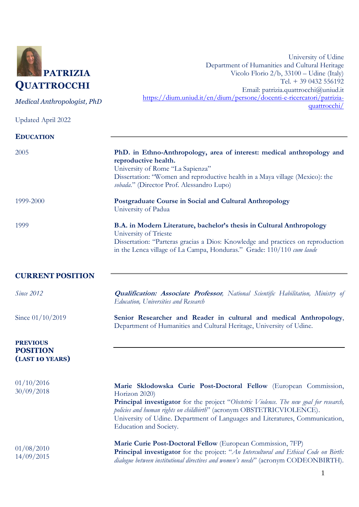

*Medical Anthropologist, PhD*

Updated April 2022

University of Udine Department of Humanities and Cultural Heritage Vicolo Florio 2/b, 33100 – Udine (Italy) Tel. + 39 0432 556192 Email: [patrizia.quattrocchi@uniud.it](mailto:patrizia.quattrocchi@uniud.it) [https://dium.uniud.it/en/dium/persone/docenti-e-ricercatori/patrizia](https://dium.uniud.it/en/dium/persone/docenti-e-ricercatori/patrizia-quattrocchi/)[quattrocchi/](https://dium.uniud.it/en/dium/persone/docenti-e-ricercatori/patrizia-quattrocchi/)

| <b>EDUCATION</b>                   |                                                                                                                                                                                                                                                                                            |
|------------------------------------|--------------------------------------------------------------------------------------------------------------------------------------------------------------------------------------------------------------------------------------------------------------------------------------------|
|                                    |                                                                                                                                                                                                                                                                                            |
| 2005                               | PhD. in Ethno-Anthropology, area of interest: medical anthropology and<br>reproductive health.                                                                                                                                                                                             |
|                                    | University of Rome "La Sapienza"                                                                                                                                                                                                                                                           |
|                                    | Dissertation: "Women and reproductive health in a Maya village (Mexico): the<br>sobada." (Director Prof. Alessandro Lupo)                                                                                                                                                                  |
| 1999-2000                          | Postgraduate Course in Social and Cultural Anthropology                                                                                                                                                                                                                                    |
|                                    | University of Padua                                                                                                                                                                                                                                                                        |
| 1999                               | B.A. in Modern Literature, bachelor's thesis in Cultural Anthropology<br>University of Trieste                                                                                                                                                                                             |
|                                    | Dissertation: "Parteras gracias a Dios: Knowledge and practices on reproduction                                                                                                                                                                                                            |
|                                    | in the Lenca village of La Campa, Honduras." Grade: 110/110 cum laude                                                                                                                                                                                                                      |
| <b>CURRENT POSITION</b>            |                                                                                                                                                                                                                                                                                            |
| Since 2012                         | <b>Qualification: Associate Professor</b> , National Scientific Habilitation, Ministry of<br>Education, Universities and Research                                                                                                                                                          |
| Since 01/10/2019                   | Senior Researcher and Reader in cultural and medical Anthropology,<br>Department of Humanities and Cultural Heritage, University of Udine.                                                                                                                                                 |
| <b>PREVIOUS</b>                    |                                                                                                                                                                                                                                                                                            |
| <b>POSITION</b><br>(LAST 10 YEARS) |                                                                                                                                                                                                                                                                                            |
| 01/10/2016                         | Marie Sklodowska Curie Post-Doctoral Fellow (European Commission,                                                                                                                                                                                                                          |
| 30/09/2018                         | Horizon 2020)<br>Principal investigator for the project "Obstetric Violence. The new goal for research,<br>policies and human rights on childbirth" (acronym OBSTETRICVIOLENCE).<br>University of Udine. Department of Languages and Literatures, Communication,<br>Education and Society. |
| 01/08/2010<br>14/09/2015           | Marie Curie Post-Doctoral Fellow (European Commission, 7FP)<br>Principal investigator for the project: "An Intercultural and Ethical Code on Birth:                                                                                                                                        |
|                                    | dialogue between institutional directives and women's needs" (acronym CODEONBIRTH).                                                                                                                                                                                                        |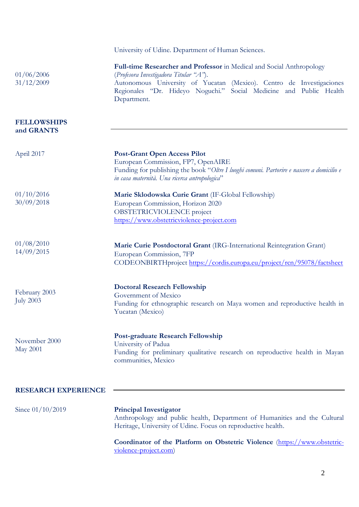|                                   | University of Udine. Department of Human Sciences.                                                                                                                                                                                                                           |
|-----------------------------------|------------------------------------------------------------------------------------------------------------------------------------------------------------------------------------------------------------------------------------------------------------------------------|
| 01/06/2006<br>31/12/2009          | Full-time Researcher and Professor in Medical and Social Anthropology<br>(Profesora Investigadora Titular "A").<br>Autonomous University of Yucatan (Mexico). Centro de Investigaciones<br>Regionales "Dr. Hideyo Noguchi." Social Medicine and Public Health<br>Department. |
| <b>FELLOWSHIPS</b><br>and GRANTS  |                                                                                                                                                                                                                                                                              |
| April 2017                        | <b>Post-Grant Open Access Pilot</b><br>European Commission, FP7, OpenAIRE<br>Funding for publishing the book "Oltre I luoghi comuni. Partorire e nascere a domicilio e<br>in casa maternità. Una ricerca antropologica"                                                      |
| 01/10/2016<br>30/09/2018          | Marie Sklodowska Curie Grant (IF-Global Fellowship)<br>European Commission, Horizon 2020<br>OBSTETRICVIOLENCE project<br>https://www.obstetricviolence-project.com                                                                                                           |
| 01/08/2010<br>14/09/2015          | Marie Curie Postdoctoral Grant (IRG-International Reintegration Grant)<br>European Commission, 7FP<br>CODEONBIRTHproject https://cordis.europa.eu/project/rcn/95078/factsheet                                                                                                |
| February 2003<br><b>July 2003</b> | <b>Doctoral Research Fellowship</b><br>Government of Mexico<br>Funding for ethnographic research on Maya women and reproductive health in<br>Yucatan (Mexico)                                                                                                                |
| November 2000<br><b>May 2001</b>  | <b>Post-graduate Research Fellowship</b><br>University of Padua<br>Funding for preliminary qualitative research on reproductive health in Mayan<br>communities, Mexico                                                                                                       |
| <b>RESEARCH EXPERIENCE</b>        |                                                                                                                                                                                                                                                                              |
| Since $01/10/2019$                | <b>Principal Investigator</b><br>Anthropology and public health, Department of Humanities and the Cultural<br>Heritage, University of Udine. Focus on reproductive health.                                                                                                   |

**Coordinator of the Platform on Obstetric Violence** [\(https://www.obstetric](https://www.obstetric-violence-project.com/)[violence-project.com\)](https://www.obstetric-violence-project.com/)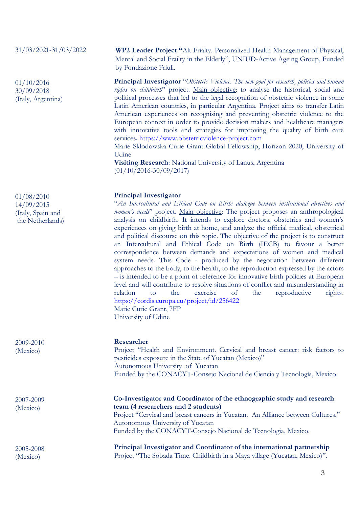## 31/03/2021-31/03/2022

01/10/2016 30/09/2018 (Italy, Argentina)

01/08/2010 14/09/2015 (Italy, Spain and the Netherlands)

2009-2010 (Mexico)

2007-2009 (Mexico)

2005-2008 (Mexico)

**WP2 Leader Project "**Alt Frialty. Personalized Health Management of Physical, Mental and Social Frailty in the Elderly", UNIUD-Active Ageing Group, Funded by Fondazione Friuli.

**Principal Investigator** "*Obstetric Violence. The new goal for research, policies and human rights on childbirth*" project. Main objective: to analyse the historical, social and political processes that led to the legal recognition of obstetric violence in some Latin American countries, in particular Argentina. Project aims to transfer Latin American experiences on recognising and preventing obstetric violence to the European context in order to provide decision makers and healthcare managers with innovative tools and strategies for improving the quality of birth care services**.** [https://www.obstetricviolence-project.com](https://www.obstetricviolence-project.com/)

Marie Sklodowska Curie Grant-Global Fellowship, Horizon 2020, University of Udine

**Visiting Research**: National University of Lanus, Argentina (01/10/2016-30/09/2017)

# **Principal Investigator**

"*An Intercultural and Ethical Code on Birth: dialogue between institutional directives and women's needs*" project. Main objective: The project proposes an anthropological analysis on childbirth. It intends to explore doctors, obstetrics and women's experiences on giving birth at home, and analyze the official medical, obstetrical and political discourse on this topic. The objective of the project is to construct an Intercultural and Ethical Code on Birth (IECB) to favour a better correspondence between demands and expectations of women and medical system needs. This Code - produced by the negotiation between different approaches to the body, to the health, to the reproduction expressed by the actors – is intended to be a point of reference for innovative birth policies at European level and will contribute to resolve situations of conflict and misunderstanding in relation to the exercise of the reproductive rights. <https://cordis.europa.eu/project/id/256422> Marie Curie Grant, 7FP University of Udine

### **Researcher**

Project "Health and Environment. Cervical and breast cancer: risk factors to pesticides exposure in the State of Yucatan (Mexico)" Autonomous University of Yucatan Funded by the CONACYT-Consejo Nacional de Ciencia y Tecnología, Mexico.

**Co-Investigator and Coordinator of the ethnographic study and research team (4 researchers and 2 students)** Project "Cervical and breast cancers in Yucatan. An Alliance between Cultures,"

Autonomous University of Yucatan Funded by the CONACYT-Consejo Nacional de Tecnología, Mexico.

**Principal Investigator and Coordinator of the international partnership** Project "The Sobada Time. Childbirth in a Maya village (Yucatan, Mexico)".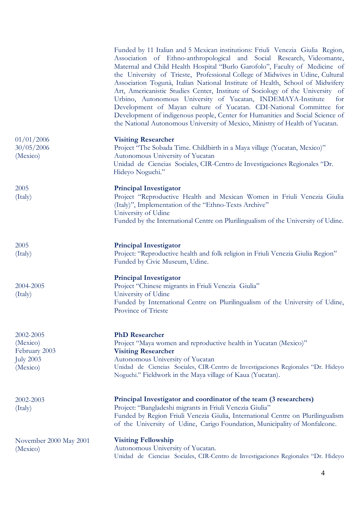|                                                                        | Funded by 11 Italian and 5 Mexican institutions: Friuli Venezia Giulia Region,<br>Association of Ethno-anthropological and Social Research, Videomante,<br>Maternal and Child Health Hospital "Burlo Garofolo", Faculty of Medicine of<br>the University of Trieste, Professional College of Midwives in Udine, Cultural<br>Association Togunà, Italian National Institute of Health, School of Midwifery<br>Art, Americanistic Studies Center, Institute of Sociology of the University of<br>Urbino, Autonomous University of Yucatan, INDEMAYA-Institute<br>for<br>Development of Mayan culture of Yucatan. CDI-National Committee for<br>Development of indigenous people, Center for Humanities and Social Science of<br>the National Autonomous University of Mexico, Ministry of Health of Yucatan. |
|------------------------------------------------------------------------|------------------------------------------------------------------------------------------------------------------------------------------------------------------------------------------------------------------------------------------------------------------------------------------------------------------------------------------------------------------------------------------------------------------------------------------------------------------------------------------------------------------------------------------------------------------------------------------------------------------------------------------------------------------------------------------------------------------------------------------------------------------------------------------------------------|
| 01/01/2006<br>30/05/2006<br>(Mexico)                                   | <b>Visiting Researcher</b><br>Project "The Sobada Time. Childbirth in a Maya village (Yucatan, Mexico)"<br>Autonomous University of Yucatan<br>Unidad de Ciencias Sociales, CIR-Centro de Investigaciones Regionales "Dr.<br>Hideyo Noguchi."                                                                                                                                                                                                                                                                                                                                                                                                                                                                                                                                                              |
| 2005<br>(Italy)                                                        | <b>Principal Investigator</b><br>Project "Reproductive Health and Mexican Women in Friuli Venezia Giulia<br>(Italy)", Implementation of the "Ethno-Texts Archive"<br>University of Udine<br>Funded by the International Centre on Plurilingualism of the University of Udine.                                                                                                                                                                                                                                                                                                                                                                                                                                                                                                                              |
| 2005<br>(Italy)                                                        | <b>Principal Investigator</b><br>Project: "Reproductive health and folk religion in Friuli Venezia Giulia Region"<br>Funded by Civic Museum, Udine.                                                                                                                                                                                                                                                                                                                                                                                                                                                                                                                                                                                                                                                        |
| 2004-2005<br>(Italy)                                                   | <b>Principal Investigator</b><br>Project "Chinese migrants in Friuli Venezia Giulia"<br>University of Udine<br>Funded by International Centre on Plurilingualism of the University of Udine,<br>Province of Trieste                                                                                                                                                                                                                                                                                                                                                                                                                                                                                                                                                                                        |
| 2002-2005<br>(Mexico)<br>February 2003<br><b>July 2003</b><br>(Mexico) | <b>PhD</b> Researcher<br>Project "Maya women and reproductive health in Yucatan (Mexico)"<br><b>Visiting Researcher</b><br>Autonomous University of Yucatan<br>Unidad de Ciencias Sociales, CIR-Centro de Investigaciones Regionales "Dr. Hideyo<br>Noguchi." Fieldwork in the Maya village of Kaua (Yucatan).                                                                                                                                                                                                                                                                                                                                                                                                                                                                                             |
| 2002-2003<br>(Italy)                                                   | Principal Investigator and coordinator of the team (3 researchers)<br>Project: "Bangladeshi migrants in Friuli Venezia Giulia"<br>Funded by Region Friuli Venezia Giulia, International Centre on Plurilingualism<br>of the University of Udine, Carigo Foundation, Municipality of Monfalcone.                                                                                                                                                                                                                                                                                                                                                                                                                                                                                                            |
| November 2000 May 2001<br>(Mexico)                                     | <b>Visiting Fellowship</b><br>Autonomous University of Yucatan.<br>Unidad de Ciencias Sociales, CIR-Centro de Investigaciones Regionales "Dr. Hideyo                                                                                                                                                                                                                                                                                                                                                                                                                                                                                                                                                                                                                                                       |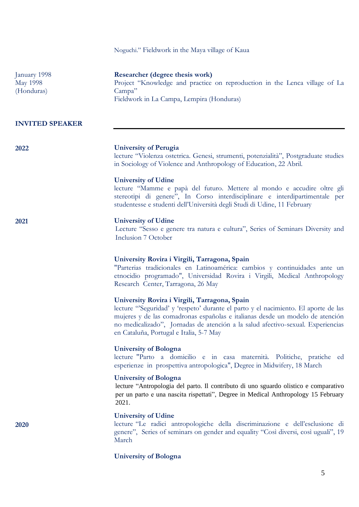|                                               | Noguchi." Fieldwork in the Maya village of Kaua                                                                                                                                                                                                                                                                                                    |
|-----------------------------------------------|----------------------------------------------------------------------------------------------------------------------------------------------------------------------------------------------------------------------------------------------------------------------------------------------------------------------------------------------------|
| January 1998<br><b>May 1998</b><br>(Honduras) | Researcher (degree thesis work)<br>Project "Knowledge and practice on reproduction in the Lenca village of La<br>Campa"<br>Fieldwork in La Campa, Lempira (Honduras)                                                                                                                                                                               |
| <b>INVITED SPEAKER</b>                        |                                                                                                                                                                                                                                                                                                                                                    |
| 2022                                          | <b>University of Perugia</b><br>lecture "Violenza ostetrica. Genesi, strumenti, potenzialità", Postgraduate studies<br>in Sociology of Violence and Anthropology of Education, 22 Abril.                                                                                                                                                           |
|                                               | <b>University of Udine</b><br>lecture "Mamme e papà del futuro. Mettere al mondo e accudire oltre gli<br>stereotipi di genere", In Corso interdisciplinare e interdipartimentale per<br>studentesse e studenti dell'Università degli Studi di Udine, 11 February                                                                                   |
| 2021                                          | <b>University of Udine</b><br>Lecture "Sesso e genere tra natura e cultura", Series of Seminars Diversity and<br>Inclusion 7 October                                                                                                                                                                                                               |
|                                               | University Rovira i Virgili, Tarragona, Spain<br>"Parterias tradicionales en Latinoamérica: cambios y continuidades ante un<br>etnocidio programado", Universidad Rovira i Virgili, Medical Anthropology<br>Research Center, Tarragona, 26 May                                                                                                     |
|                                               | University Rovira i Virgili, Tarragona, Spain<br>lecture "Seguridad' y 'respeto' durante el parto y el nacimiento. El aporte de las<br>mujeres y de las comadronas españolas e italianas desde un modelo de atención<br>no medicalizado", Jornadas de atención a la salud afectivo-sexual. Experiencias<br>en Cataluña, Portugal e Italia, 5-7 May |
|                                               | <b>University of Bologna</b><br>lecture "Parto a domicilio e in casa maternità. Politiche, pratiche ed<br>esperienze in prospettiva antropologica", Degree in Midwifery, 18 March                                                                                                                                                                  |
|                                               | <b>University of Bologna</b><br>lecture "Antropologia del parto. Il contributo di uno sguardo olistico e comparativo<br>per un parto e una nascita rispettati", Degree in Medical Anthropology 15 February<br>2021.                                                                                                                                |
| 2020                                          | <b>University of Udine</b><br>lecture "Le radici antropologiche della discriminazione e dell'esclusione di<br>genere", Series of seminars on gender and equality "Così diversi, così uguali", 19<br>March                                                                                                                                          |
|                                               | <b>University of Bologna</b>                                                                                                                                                                                                                                                                                                                       |

5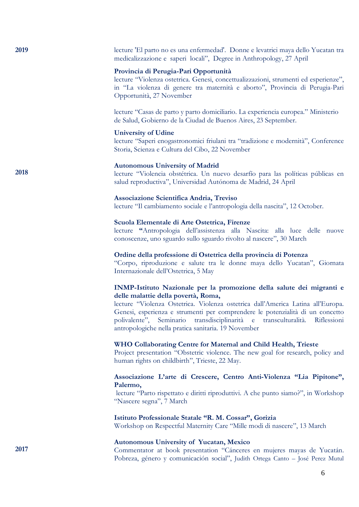| 2019 | lecture 'El parto no es una enfermedad'. Donne e levatrici maya dello Yucatan tra<br>medicalizzazione e saperi locali", Degree in Anthropology, 27 April                                                                                                                                                                                                                                                                  |
|------|---------------------------------------------------------------------------------------------------------------------------------------------------------------------------------------------------------------------------------------------------------------------------------------------------------------------------------------------------------------------------------------------------------------------------|
|      | Provincia di Perugia-Pari Opportunità<br>lecture "Violenza ostetrica. Genesi, concettualizzazioni, strumenti ed esperienze",<br>in "La violenza di genere tra maternità e aborto", Provincia di Perugia-Pari<br>Opportunità, 27 November                                                                                                                                                                                  |
|      | lecture "Casas de parto y parto domiciliario. La experiencia europea." Ministerio<br>de Salud, Gobierno de la Ciudad de Buenos Aires, 23 September.                                                                                                                                                                                                                                                                       |
|      | <b>University of Udine</b><br>lecture "Saperi enogastronomici friulani tra "tradizione e modernità", Conference<br>Storia, Scienza e Cultura del Cibo, 22 November                                                                                                                                                                                                                                                        |
| 2018 | <b>Autonomous University of Madrid</b><br>lecture "Violencia obstétrica. Un nuevo desarfío para las políticas públicas en<br>salud reproductiva", Universidad Autónoma de Madrid, 24 April                                                                                                                                                                                                                                |
|      | Associazione Scientifica Andria, Treviso<br>lecture "Il cambiamento sociale e l'antropologia della nascita", 12 October.                                                                                                                                                                                                                                                                                                  |
|      | Scuola Elementale di Arte Ostetrica, Firenze<br>lecture "Antropologia dell'assistenza alla Nascita: alla luce delle nuove<br>conoscenze, uno sguardo sullo sguardo rivolto al nascere", 30 March                                                                                                                                                                                                                          |
|      | Ordine della professione di Ostetrica della provincia di Potenza<br>"Corpo, riproduzione e salute tra le donne maya dello Yucatan", Giornata<br>Internazionale dell'Ostetrica, 5 May                                                                                                                                                                                                                                      |
|      | INMP-Istituto Nazionale per la promozione della salute dei migranti e<br>delle malattie della povertà, Roma,<br>lecture "Violenza Ostetrica. Violenza ostetrica dall'America Latina all'Europa.<br>Genesi, esperienza e strumenti per comprendere le potenzialità di un concetto<br>polivalente", Seminario transdisciplinarità e transculturalità.<br>Riflessioni<br>antropologiche nella pratica sanitaria. 19 November |
|      | WHO Collaborating Centre for Maternal and Child Health, Trieste<br>Project presentation "Obstetric violence. The new goal for research, policy and<br>human rights on childbirth", Trieste, 22 May.                                                                                                                                                                                                                       |
|      | Associazione L'arte di Crescere, Centro Anti-Violenza "Lia Pipitone",<br>Palermo,<br>lecture "Parto rispettato e diritti riproduttivi. A che punto siamo?", in Workshop<br>"Nascere segna", 7 March                                                                                                                                                                                                                       |
|      | Istituto Professionale Statale "R. M. Cossar", Gorizia<br>Workshop on Respectful Maternity Care "Mille modi di nascere", 13 March                                                                                                                                                                                                                                                                                         |
| 2017 | <b>Autonomous University of Yucatan, Mexico</b><br>Commentator at book presentation "Cánceres en mujeres mayas de Yucatán.<br>Pobreza, género y comunicación social", Judith Ortega Canto - José Perez Mutul                                                                                                                                                                                                              |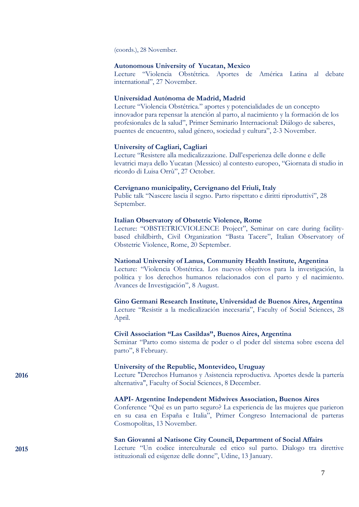(coords.), 28 November.

## **Autonomous University of Yucatan, Mexico**

Lecture "Violencia Obstétrica. Aportes de América Latina al debate international", 27 November.

## **Universidad Autónoma de Madrid, Madrid**

Lecture "Violencia Obstétrica." aportes y potencialidades de un concepto innovador para repensar la atención al parto, al nacimiento y la formación de los profesionales de la salud", Primer Seminario Internacional: Diálogo de saberes, puentes de encuentro, salud género, sociedad y cultura", 2-3 November.

## **University of Cagliari, Cagliari**

Lecture "Resistere alla medicalizzazione. Dall'esperienza delle donne e delle levatrici maya dello Yucatan (Messico) al contesto europeo, "Giornata di studio in ricordo di Luisa Orrù", 27 October.

## **Cervignano municipality, Cervignano del Friuli, Italy**

Public talk "Nascere lascia il segno. Parto rispettato e diritti riproduttivi", 28 September.

## **Italian Observatory of Obstetric Violence, Rome**

Lecture: "OBSTETRICVIOLENCE Project", Seminar on care during facilitybased childbirth, Civil Organization "Basta Tacere", Italian Observatory of Obstetric Violence, Rome, 20 September.

## **National University of Lanus, Community Health Institute, Argentina**

Lecture: "Violencia Obstétrica. Los nuevos objetivos para la investigación, la política y los derechos humanos relacionados con el parto y el nacimiento. Avances de Investigación", 8 August.

### **Gino Germani Research Institute, Universidad de Buenos Aires, Argentina**

Lecture "Resistir a la medicalización inecesaria", Faculty of Social Sciences, 28 April.

# **Civil Association "Las Casildas", Buenos Aires, Argentina**

Seminar "Parto como sistema de poder o el poder del sistema sobre escena del parto", 8 February.

## **University of the Republic, Montevideo, Uruguay**

Lecture "Derechos Humanos y Asistencia reproductiva. Aportes desde la partería alternativa", Faculty of Social Sciences, 8 December.

### **AAPI- Argentine Independent Midwives Association, Buenos Aires**

Conference "Qué es un parto seguro? La experiencia de las mujeres que parieron en su casa en España e Italia", Primer Congreso Internacional de parteras Cosmopolítas, 13 November.

# **San Giovanni al Natisone City Council, Department of Social Affairs**

Lecture "Un codice interculturale ed etico sul parto. Dialogo tra direttive istituzionali ed esigenze delle donne", Udine, 13 January.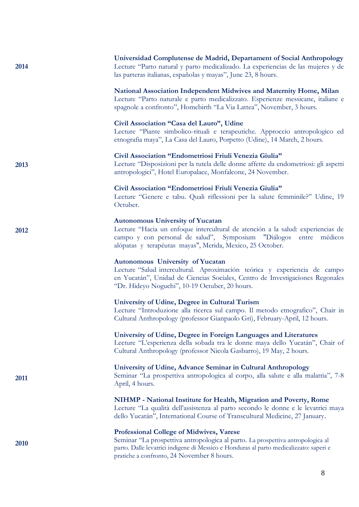| 2014 | Universidad Complutense de Madrid, Departament of Social Anthropology<br>Lecture "Parto natural y parto medicalizado. La experiencias de las mujeres y de<br>las parteras italianas, españolas y mayas", June 23, 8 hours.                                                 |
|------|----------------------------------------------------------------------------------------------------------------------------------------------------------------------------------------------------------------------------------------------------------------------------|
|      | National Association Independent Midwives and Maternity Home, Milan<br>Lecture "Parto naturale e parto medicalizzato. Esperienze messicane, italiane e<br>spagnole a confronto", Homebirth "La Via Lattea", November, 3 hours.                                             |
|      | Civil Association "Casa del Lauro", Udine<br>Lecture "Piante simbolico-rituali e terapeutiche. Approccio antropologico ed<br>etnografia maya", La Casa del Lauro, Porpetto (Udine), 14 March, 2 hours.                                                                     |
| 2013 | Civil Association "Endometriosi Friuli Venezia Giulia"<br>Lecture "Disposizioni per la tutela delle donne affette da endometriosi: gli aspetti<br>antropologici", Hotel Europalace, Monfalcone, 24 November.                                                               |
|      | Civil Association "Endometriosi Friuli Venezia Giulia"<br>Lecture "Genere e tabu. Quali riflessioni per la salute femminile?" Udine, 19<br>Octuber.                                                                                                                        |
| 2012 | <b>Autonomous University of Yucatan</b><br>Lecture "Hacia un enfoque intercultural de atención a la salud: experiencias de<br>campo y con personal de salud", Symposium<br>"Diálogos<br>médicos<br>entre<br>alópatas y terapéutas mayas", Merida, Mexico, 25 October.      |
|      | Autonomous University of Yucatan<br>Lecture "Salud intercultural. Aproximación teórica y experiencia de campo<br>en Yucatán", Unidad de Ciencias Sociales, Centro de Investigaciones Regonales<br>"Dr. Hideyo Noguchi", 10-19 Octuber, 20 hours.                           |
|      | University of Udine, Degree in Cultural Turism<br>Lecture "Introduzione alla ricerca sul campo. Il metodo etnografico", Chair in<br>Cultural Anthropology (professor Gianpaolo Gri), February-April, 12 hours.                                                             |
|      | University of Udine, Degree in Foreign Languages and Literatures<br>Lecture "L'esperienza della sobada tra le donne maya dello Yucatán", Chair of<br>Cultural Anthropology (professor Nicola Gasbarro), 19 May, 2 hours.                                                   |
| 2011 | University of Udine, Advance Seminar in Cultural Anthropology<br>Seminar "La prospettiva antropologica al corpo, alla salute e alla malattia", 7-8<br>April, 4 hours.                                                                                                      |
|      | NIHMP - National Institute for Health, Migration and Poverty, Rome<br>Lecture "La qualità dell'assistenza al parto secondo le donne e le levatrici maya<br>dello Yucatán", International Course of Transcultural Medicine, 27 January.                                     |
| 2010 | <b>Professional College of Midwives, Varese</b><br>Seminar "La prospettiva antropologica al parto. La prospettiva antropologica al<br>parto. Dalle levatrici indigene di Messico e Honduras al parto medicalizzato: saperi e<br>pratiche a confronto, 24 November 8 hours. |

8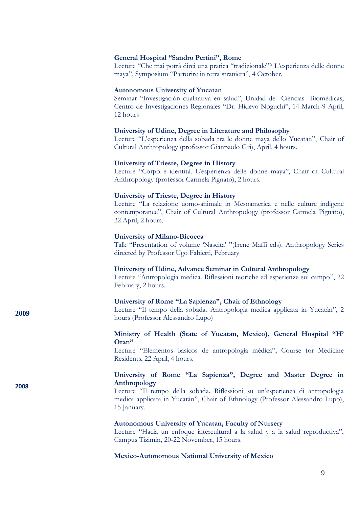## **General Hospital "Sandro Pertini", Rome**

Lecture "Che mai potrà dirci una pratica "tradizionale"? L'esperienza delle donne maya", Symposium "Partorire in terra straniera", 4 October.

## **Autonomous University of Yucatan**

Seminar "Investigación cualitativa en salud", Unidad de Ciencias Biomédicas, Centro de Investigaciones Regionales "Dr. Hideyo Noguchi", 14 March-9 April, 12 hours

### **University of Udine, Degree in Literature and Philosophy**

Lecture "L'esperienza della sobada tra le donne maya dello Yucatan", Chair of Cultural Anthropology (professor Gianpaolo Gri), April, 4 hours.

### **University of Trieste, Degree in History**

Lecture "Corpo e identità. L'esperienza delle donne maya", Chair of Cultural Anthropology (professor Carmela Pignato), 2 hours.

### **University of Trieste, Degree in History**

Lecture "La relazione uomo-animale in Mesoamerica e nelle culture indigene contemporanee", Chair of Cultural Anthropology (professor Carmela Pignato), 22 April, 2 hours.

### **University of Milano-Bicocca**

**2009** 

**2008**

Talk "Presentation of volume 'Nascita' "(Irene Maffi eds). Anthropology Series directed by Professor Ugo Fabietti, February

### **University of Udine, Advance Seminar in Cultural Anthropology**

Lecture "Antropologia medica. Riflessioni teoriche ed esperienze sul campo", 22 February, 2 hours.

### **University of Rome "La Sapienza", Chair of Ethnology**

Lecture "Il tempo della sobada. Antropologia medica applicata in Yucatán", 2 hours (Professor Alessandro Lupo)

# **Ministry of Health (State of Yucatan, Mexico), General Hospital "H' Oran"**

Lecture "Elementos basicos de antropología médica", Course for Medicine Residents, 22 April, 4 hours.

# **University of Rome "La Sapienza", Degree and Master Degree in Anthropology**

Lecture "Il tempo della sobada. Riflessioni su un'esperienza di antropologia medica applicata in Yucatán", Chair of Ethnology (Professor Alessandro Lupo), 15 January.

#### **Autonomous University of Yucatan, Faculty of Nursery**

Lecture "Hacia un enfoque intercultural a la salud y a la salud reproductiva", Campus Tizimin, 20-22 November, 15 hours.

### **Mexico-Autonomous National University of Mexico**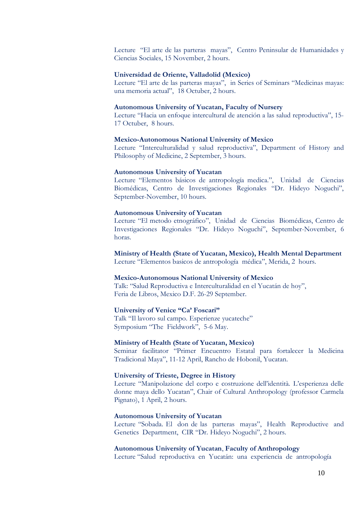Lecture "El arte de las parteras mayas", Centro Peninsular de Humanidades y Ciencias Sociales, 15 November, 2 hours.

## **Universidad de Oriente, Valladolid (Mexico)**

Lecture "El arte de las parteras mayas", in Series of Seminars "Medicinas mayas: una memoria actual", 18 Octuber, 2 hours.

### **Autonomous University of Yucatan, Faculty of Nursery**

Lecture "Hacia un enfoque intercultural de atención a las salud reproductiva", 15- 17 Octuber, 8 hours.

### **Mexico-Autonomous National University of Mexico**

Lecture "Interculturalidad y salud reproductiva", Department of History and Philosophy of Medicine, 2 September, 3 hours.

## **Autonomous University of Yucatan**

Lecture "Elementos básicos de antropología medica.", Unidad de Ciencias Biomédicas, Centro de Investigaciones Regionales "Dr. Hideyo Noguchi", September-November, 10 hours.

#### **Autonomous University of Yucatan**

Lecture "El metodo etnográfico", Unidad de Ciencias Biomédicas, Centro de Investigaciones Regionales "Dr. Hideyo Noguchi", September-November, 6 horas.

## **Ministry of Health (State of Yucatan, Mexico), Health Mental Department**

Lecture "Elementos basicos de antropología médica", Merida, 2 hours.

### **Mexico-Autonomous National University of Mexico**

Talk: "Salud Reproductiva e Interculturalidad en el Yucatán de hoy", Feria de Libros, Mexico D.F. 26-29 September.

### **University of Venice "Ca' Foscari"**

Talk "Il lavoro sul campo. Esperienze yucateche" Symposium "The Fieldwork", 5-6 May.

## **Ministry of Health (State of Yucatan, Mexico)**

Seminar facilitator "Primer Encuentro Estatal para fortalecer la Medicina Tradicional Maya", 11-12 April, Rancho de Hobonil, Yucatan.

## **University of Trieste, Degree in History**

Lecture "Manipolazione del corpo e costruzione dell'identità. L'esperienza delle donne maya dello Yucatan", Chair of Cultural Anthropology (professor Carmela Pignato), 1 April, 2 hours.

### **Autonomous University of Yucatan**

Lecture "Sobada. El don de las parteras mayas", Health Reproductive and Genetics Department, CIR "Dr. Hideyo Noguchi", 2 hours.

## **Autonomous University of Yucatan**, **Faculty of Anthropology**

Lecture "Salud reproductiva en Yucatán: una experiencia de antropología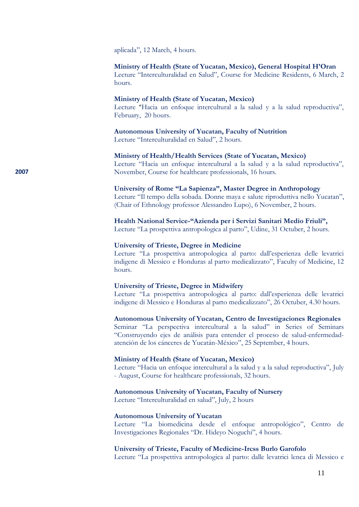aplicada", 12 March, 4 hours.

### **Ministry of Health (State of Yucatan, Mexico), General Hospital H'Oran**

Lecture "Interculturalidad en Salud", Course for Medicine Residents, 6 March, 2 hours.

### **Ministry of Health (State of Yucatan, Mexico)**

Lecture "Hacia un enfoque intercultural a la salud y a la salud reproductiva", February, 20 hours.

### **Autonomous University of Yucatan, Faculty of Nutrition**

Lecture "Interculturalidad en Salud", 2 hours.

# **Ministry of Health/Health Services (State of Yucatan, Mexico)**

Lecture "Hacia un enfoque intercultural a la salud y a la salud reproductiva", November, Course for healthcare professionals, 16 hours.

## **University of Rome "La Sapienza", Master Degree in Anthropology**

Lecture "Il tempo della sobada. Donne maya e salute riproduttiva nello Yucatan", (Chair of Ethnology professor Alessandro Lupo), 6 November, 2 hours.

## **Health National Service-"Azienda per i Servizi Sanitari Medio Friuli",**

Lecture "La prospettiva antropologica al parto", Udine, 31 Octuber, 2 hours.

### **University of Trieste, Degree in Medicine**

Lecture "La prospettiva antropologica al parto: dall'esperienza delle levatrici indigene di Messico e Honduras al parto medicalizzato", Faculty of Medicine, 12 hours.

## **University of Trieste, Degree in Midwifery**

Lecture "La prospettiva antropologica al parto: dall'esperienza delle levatrici indigene di Messico e Honduras al parto medicalizzato", 26 Octuber, 4.30 hours.

### **Autonomous University of Yucatan, Centro de Investigaciones Regionales**

Seminar "La perspectiva intercultural a la salud" in Series of Seminars "Construyendo ejes de análisis para entender el proceso de salud-enfermedadatención de los cánceres de Yucatán-México", 25 September, 4 hours.

### **Ministry of Health (State of Yucatan, Mexico)**

Lecture "Hacia un enfoque intercultural a la salud y a la salud reproductiva", July - August, Course for healthcare professionals, 32 hours.

### **Autonomous University of Yucatan, Faculty of Nursery**

Lecture "Interculturalidad en salud", July, 2 hours

### **Autonomous University of Yucatan**

Lecture "La biomedicina desde el enfoque antropológico", Centro de Investigaciones Regionales "Dr. Hideyo Noguchi", 4 hours.

## **University of Trieste, Faculty of Medicine-Ircss Burlo Garofolo**

Lecture "La prospettiva antropologica al parto: dalle levatrici lenca di Messico e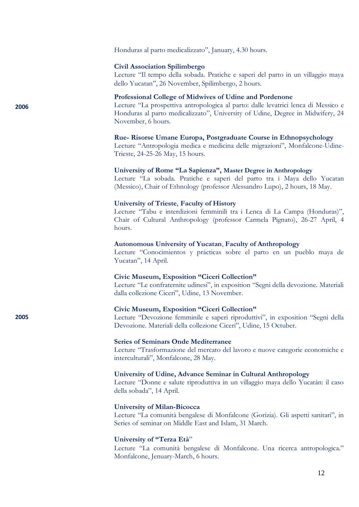Honduras al parto medicalizzato", January, 4.30 hours.

## **Civil Association Spilimbergo**

Lecture "Il tempo della sobada. Pratiche e saperi del parto in un villaggio maya dello Yucatan", 26 November, Spilimbergo, 2 hours.

# **Professional College of Midwives of Udine and Pordenone**

Lecture "La prospettiva antropologica al parto: dalle levatrici lenca di Messico e Honduras al parto medicalizzato", University of Udine, Degree in Midwifery, 24 November, 6 hours.

### **Rue- Risorse Umane Europa, Postgraduate Course in Ethnopsychology**

Lecture "Antropologia medica e medicina delle migrazioni", Monfalcone-Udine-Trieste, 24-25-26 May, 15 hours.

## **University of Rome "La Sapienza", Master Degree in Anthropology**

Lecture "La sobada. Pratiche e saperi del parto tra i Maya dello Yucatan (Messico), Chair of Ethnology (professor Alessandro Lupo), 2 hours, 18 May.

### **University of Trieste**, **Faculty of History**

Lecture "Tabu e interdizioni femminili tra i Lenca di La Campa (Honduras)", Chair of Cultural Anthropology (professor Carmela Pignato), 26-27 April, 4 hours.

### **Autonomous University of Yucatan**, **Faculty of Anthropology**

Lecture "Conocimientos y prácticas sobre el parto en un pueblo maya de Yucatan", 14 April.

### **Civic Museum, Exposition "Ciceri Collection"**

Lecture "Le confraternite udinesi", in exposition "Segni della devozione. Materiali dalla collezione Ciceri", Udine, 13 November.

### **Civic Museum, Exposition "Ciceri Collection"**

Lecture "Devozione femminile e saperi riproduttivi", in exposition "Segni della Devozione. Materiali della collezione Ciceri", Udine, 15 Octuber.

## **Series of Seminars Onde Mediterranee**

Lecture "Trasformazione del mercato del lavoro e nuove categorie economiche e interculturali", Monfalcone, 28 May.

## **University of Udine, Advance Seminar in Cultural Anthropology**

Lecture "Donne e salute riproduttiva in un villaggio maya dello Yucatán: il caso della sobada", 14 April.

## **University of Milan-Bicocca**

Lecture "La comunità bengalese di Monfalcone (Gorizia). Gli aspetti sanitari", in Series of seminar on Middle East and Islam, 31 March.

## **University of "Terza Età**"

Lecture "La comunità bengalese di Monfalcone. Una ricerca antropologica." Monfalcone, Jenuary-March, 6 hours.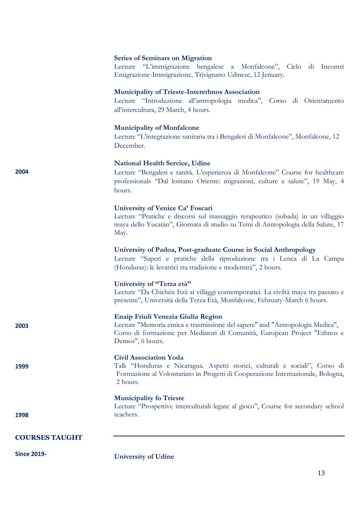# **Series of Seminars on Migration**

Lecture "L'immigrazione bengalese a Monfalcone", Ciclo di Incontri Emigrazione-Immigrazione, Trivignano Udinese, 12 Jenuary.

## **Municipality of Trieste-Interethnos Association**

Lecture "Introduzione all'antropologia medica", Corso di Orientamento all'intercultura, 29 March, 4 hours.

# **Municipality of Monfalcone**

Lecture "L'integrazione sanitaria tra i Bengalesi di Monfalcone", Monfalcone, 12 December.

# **National Health Service, Udine**

Lecture "Bengalesi e sanità. L'esperienza di Monfalcone" Course for healthcare professionals "Dal lontano Oriente: migrazioni, culture e salute", 19 May, 4 hours.

# **University of Venice Ca' Foscari**

Lecture "Pratiche e discorsi sul massaggio terapeutico (sobada) in un villaggio maya dello Yucatán", Giornata di studio su Temi di Antropologia della Salute, 17 May.

# **University of Padoa, Post-graduate Course in Social Anthropology**

Lecture "Saperi e pratiche della riproduzione tra i Lenca di La Campa (Honduras): le levatrici tra tradizione e modernità", 2 hours.

# **University of "Terza età"**

Lecture "Da Chichén Itzá ai villaggi contemporanei. La civiltà maya tra passato e presente", Università della Terza Età, Monfalcone, February-March 6 hours.

## **Enaip Friuli Venezia Giulia Region**

Lecture "Memoria etnica e trasmissione del sapere" and "Antropologia Medica", Corso di formazione per Mediatori di Comunità, European Project "Ethnos e Demos", 6 hours.

# **Civil Association Yoda**

Talk "Honduras e Nicaragua. Aspetti storici, culturali e sociali", Corso di Formazione al Volontariato in Progetti di Cooperazione Internazionale, Bologna, 2 hours.

# **Municipality fo Trieste**

Lecture "Prospettive interculturali legate al gioco", Course for secondary school teachers.

# **COURSES TAUGHT**

**Since 2019-**

**2004**

**2003**

**1999**

**1998**

**University of Udine**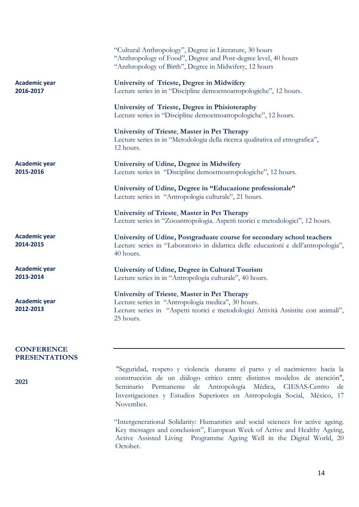|                                           | "Cultural Anthropology", Degree in Literature, 30 hours<br>"Anthropology of Food", Degree and Post-degree level, 40 hours<br>"Anthropology of Birth", Degree in Midwifery, 12 hours                   |
|-------------------------------------------|-------------------------------------------------------------------------------------------------------------------------------------------------------------------------------------------------------|
| <b>Academic year</b><br>2016-2017         | <b>University of Trieste, Degree in Midwifery</b><br>Lecture series in in "Discipline demoetnoatropologiche", 12 hours.                                                                               |
|                                           | University of Trieste, Degree in Phisioteraphy<br>Lecture series in "Discipline demoetnoatropologiche", 12 hours.                                                                                     |
|                                           | University of Trieste, Master in Pet Therapy<br>Lecture series in in "Metodologia della ricerca qualitativa ed etnografica",<br>12 hours.                                                             |
| <b>Academic year</b><br>2015-2016         | University of Udine, Degree in Midwifery<br>Lecture series in "Discipline demoetnoatropologiche", 12 hours.                                                                                           |
|                                           | University of Udine, Degree in "Educazione professionale"<br>Lecture series in "Antropologia culturale", 21 hours.                                                                                    |
|                                           | University of Trieste, Master in Pet Therapy<br>Lecture series in "Zooantropologia. Aspetti teorici e metodologici", 12 hours.                                                                        |
| <b>Academic year</b><br>2014-2015         | University of Udine, Postgraduate course for secondary school teachers<br>Lecture series in "Laboratorio in didattica delle educazioni e dell'antropologia",<br>40 hours.                             |
| <b>Academic year</b><br>2013-2014         | University of Udine, Degree in Cultural Tourism<br>Lecture series in in "Antropologia culturale", 40 hours.                                                                                           |
| <b>Academic year</b><br>2012-2013         | University of Trieste, Master in Pet Therapy<br>Lecture series in "Antropologia medica", 30 hours.<br>Lecture series in "Aspetti teorici e metodologici Attività Assistite con animali",<br>25 hours. |
| <b>CONFERENCE</b><br><b>PRESENTATIONS</b> |                                                                                                                                                                                                       |
| 2021                                      | "Seguridad, respeto y violencia durante el parto y el nacimiento: hacia la<br>construcción de un diálogo crítico entre distintos modelos de atención",                                                |

Seminario Permanente de Antropología Médica, CIESAS-Centro de Investigaciones y Estudios Superiores en Antropología Social, México, 17 November.

"Intergenerational Solidarity: Humanities and social sciences for active ageing. Key messages and conclusion", European Week of Active and Healthy Ageing, Active Assisted Living Programme Ageing Well in the Digital World, 20 October.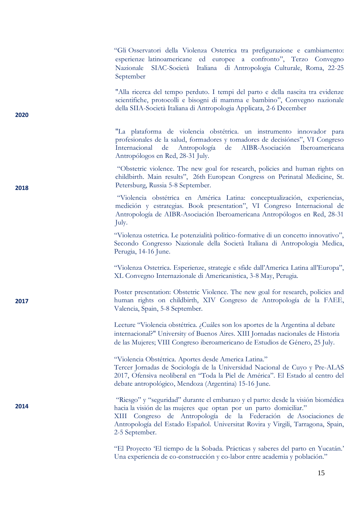- "Gli Osservatori della Violenza Ostetrica tra prefigurazione e cambiamento: esperienze latinoamericane ed europee a confronto", Terzo Convegno Nazionale SIAC-Società Italiana di Antropologia Culturale, Roma, 22-25 September

"Alla ricerca del tempo perduto. I tempi del parto e della nascita tra evidenze scientifiche, protocolli e bisogni di mamma e bambino", Convegno nazionale della SIIA-Società Italiana di Antropologia Applicata, 2-6 December

**2020**

**2018**

**2017**

**2014**

"La plataforma de violencia obstétrica. un instrumento innovador para profesionales de la salud, formadores y tomadores de decisiónes", VI Congreso Internacional de Antropología de AIBR-Asociación Iberoamericana Antropólogos en Red, 28-31 July.

"Obstetric violence. The new goal for research, policies and human rights on childbirth. Main results", 26th European Congress on Perinatal Medicine, St. Petersburg, Russia 5-8 September.

"Violencia obstétrica en América Latina: conceptualización, experiencias, medición y estrategias. Book presentation", VI Congreso Internacional de Antropología de AIBR-Asociación Iberoamericana Antropólogos en Red, 28-31 July.

"Violenza ostetrica. Le potenzialità politico-formative di un concetto innovativo", Secondo Congresso Nazionale della Società Italiana di Antropologia Medica, Perugia, 14-16 June.

"Violenza Ostetrica. Esperienze, strategie e sfide dall'America Latina all'Europa", XL Convegno Internazionale di Americanistica, 3-8 May, Perugia.

Poster presentation: Obstetric Violence. The new goal for research, policies and human rights on childbirth, XIV Congreso de Antropología de la FAEE, Valencia, Spain, 5-8 September.

Lecture "Violencia obstétrica. ¿Cuáles son los aportes de la Argentina al debate internacional?" University of Buenos Aires. XIII Jornadas nacionales de Historia de las Mujeres; VIII Congreso iberoamericano de Estudios de Género, 25 July.

"Violencia Obstétrica. Aportes desde America Latina." Tercer Jornadas de Sociología de la Universidad Nacional de Cuyo y Pre-ALAS 2017, Ofensiva neoliberal en "Toda la Piel de América". El Estado al centro del debate antropológico, Mendoza (Argentina) 15-16 June.

"Riesgo" y "seguridad" durante el embarazo y el parto: desde la visión biomédica hacia la visión de las mujeres que optan por un parto domiciliar."

XIII Congreso de Antropología de la Federación de Asociaciones de Antropología del Estado Español. Universitat Rovira y Virgili, Tarragona, Spain, 2-5 September.

"El Proyecto 'El tiempo de la Sobada. Prácticas y saberes del parto en Yucatán.' Una experiencia de co-construcción y co-labor entre academia y población."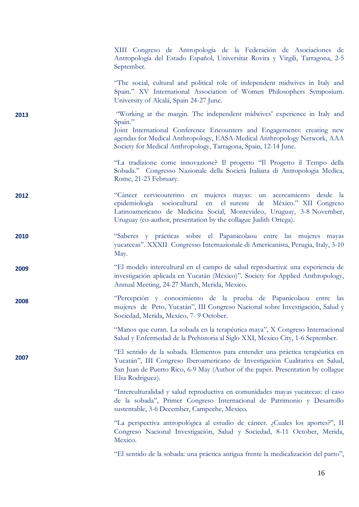XIII Congreso de Antropología de la Federación de Asociaciones de Antropología del Estado Español, Universitat Rovira y Virgili, Tarragona, 2-5 September.

"The social, cultural and political role of independent midwives in Italy and Spain." XV International Association of Women Philosophers Symposium. University of Alcalá, Spain 24-27 June.

"Working at the margin. The independent midwives' experience in Italy and Spain." Joint International Conference Encounters and Engagements: creating new

**2013**

**2008**

**2007**

agendas for Medical Anthropology, EASA-Medical Anthropology Network, AAA Society for Medical Anthropology, Tarragona, Spain, 12-14 June.

"La tradizione come innovazione? Il progetto "Il Progetto il Tempo della Sobada." Congresso Nazionale della Società Italiana di Antropologia Medica, Rome, 21-23 February.

- **2012** "Cáncer cervicouterino en mujeres mayas: un acercamiento desde la epidemiología sociocultural en el sureste de México." XII Congreso Latinoamericano de Medicina Social, Montevideo, Uruguay, 3-8 November, Uruguay (co-author, presentation by the collague Judith Ortega).
- **2010** "Saberes y prácticas sobre el Papanicolaou entre las mujeres mayas yucatecas". XXXII Congresso Internazionale di Americanista, Perugia, Italy, 3-10 May.
- **2009** "El modelo intercultural en el campo de salud reproductiva: una experiencia de investigación aplicada en Yucatán (México)". Society for Applied Anthropology, Annual Meeting, 24-27 March, Merida, Mexico.

"Percepción y conocimiento de la prueba de Papanicolaou entre las mujeres de Peto, Yucatán", III Congreso Nacional sobre Investigación, Salud y Sociedad, Merida, Mexico, 7- 9 October.

"Manos que curan. La sobada en la terapéutica maya", X Congreso Internacional Salud y Enfermedad de la Prehistoria al Siglo XXI, Mexico City, 1-6 September.

"El sentido de la sobada. Elementos para entender una práctica terapéutica en Yucatán", III Congreso Iberoamericano de Investigación Cualitativa en Salud, San Juan de Puerto Rico, 6-9 May (Author of the paper. Presentation by collague Elsa Rodriguez).

"Interculturalidad y salud reproductiva en comunidades mayas yucatecas: el caso de la sobada", Primer Congreso Internacional de Patrimonio y Desarrollo sustentable, 3-6 December, Campeche, Mexico.

"La perspectiva antropológica al estudio de cáncer. ¿Cuales los aportes?", II Congreso Nacional Investigación, Salud y Sociedad, 8-11 October, Merida, Mexico.

"El sentido de la sobada: una práctica antigua frente la medicalización del parto",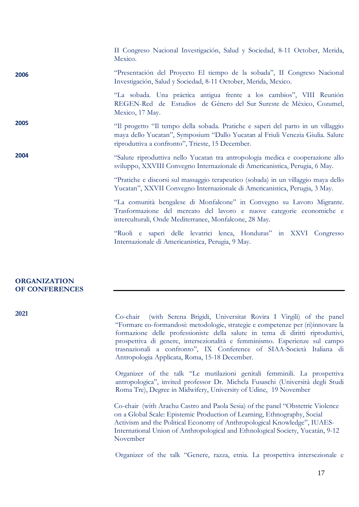|      | II Congreso Nacional Investigación, Salud y Sociedad, 8-11 October, Merida,<br>Mexico.                                                                                                                                 |
|------|------------------------------------------------------------------------------------------------------------------------------------------------------------------------------------------------------------------------|
| 2006 | "Presentación del Proyecto El tiempo de la sobada", II Congreso Nacional<br>Investigación, Salud y Sociedad, 8-11 October, Merida, Mexico.                                                                             |
|      | "La sobada. Una práctica antigua frente a los cambios", VIII Reunión<br>REGEN-Red de Estudios de Género del Sur Sureste de México, Cozumel,<br>Mexico, 17 May.                                                         |
| 2005 | "Il progetto "Il tempo della sobada. Pratiche e saperi del parto in un villaggio<br>maya dello Yucatan", Symposium "Dallo Yucatan al Friuli Venezia Giulia. Salute<br>riproduttiva a confronto", Trieste, 15 December. |
| 2004 | "Salute riproduttiva nello Yucatan tra antropologia medica e cooperazione allo<br>sviluppo, XXVIII Convegno Internazionale di Americanistica, Perugia, 6 May.                                                          |
|      | "Pratiche e discorsi sul massaggio terapeutico (sobada) in un villaggio maya dello<br>Yucatan", XXVII Convegno Internazionale di Americanistica, Perugia, 3 May.                                                       |
|      | "La comunità bengalese di Monfalcone" in Convegno su Lavoro Migrante.<br>Trasformazione del mercato del lavoro e nuove categorie economiche e<br>interculturali, Onde Mediterranee, Monfalcone, 28 May.                |
|      | "Ruoli e saperi delle levatrici lenca, Honduras" in XXVI Congresso<br>Internazionale di Americanistica, Perugia, 9 May.                                                                                                |

# **ORGANIZATION OF CONFERENCES**

**2021**

Co-chair (with Serena Brigidi, Universitat Rovira I Virgili) of the panel "Formare co-formandosi: metodologie, strategie e competenze per (ri)innovare la formazione delle professioniste della salute in tema di diritti riproduttivi, prospettiva di genere, intersezionalità e femminismo. Esperienze sul campo trasnazionali a confronto", IX Conference of SIAA-Società Italiana di Antropologia Applicata, Roma, 15-18 December.

Organizer of the talk "Le mutilazioni genitali femminili. La prospettiva antropologica", invited professor Dr. Michela Fusaschi (Università degli Studi Roma Tre), Degree in Midwifery, University of Udine, 19 November

Co-chair (with Arachu Castro and Paola Sesia) of the panel "Obstetric Violence on a Global Scale: Epistemic Production of Learning, Ethnography, Social Activism and the Political Economy of Anthropological Knowledge", IUAES-International Union of Anthropological and Ethnological Society, Yucatán, 9-12 November

Organizer of the talk "Genere, razza, etnia. La prospettiva intersezionale e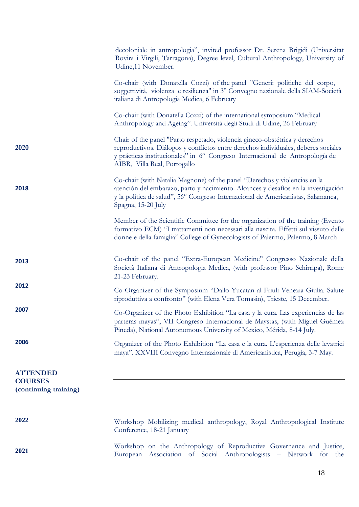|                                                            | decoloniale in antropologia", invited professor Dr. Serena Brigidi (Universitat<br>Rovira i Virgili, Tarragona), Degree level, Cultural Anthropology, University of<br>Udine, 11 November.                                                                                        |
|------------------------------------------------------------|-----------------------------------------------------------------------------------------------------------------------------------------------------------------------------------------------------------------------------------------------------------------------------------|
|                                                            | Co-chair (with Donatella Cozzi) of the panel "Generi: politiche del corpo,<br>soggettività, violenza e resilienza" in 3º Convegno nazionale della SIAM-Società<br>italiana di Antropologia Medica, 6 February                                                                     |
|                                                            | Co-chair (with Donatella Cozzi) of the international symposium "Medical<br>Anthropology and Ageing". Università degli Studi di Udine, 26 February                                                                                                                                 |
| 2020                                                       | Chair of the panel "Parto respetado, violencia gineco-obstétrica y derechos<br>reproductivos. Diálogos y conflictos entre derechos individuales, deberes sociales<br>y prácticas institucionales" in 6° Congreso Internacional de Antropología de<br>AIBR, Villa Real, Portogallo |
| 2018                                                       | Co-chair (with Natalia Magnone) of the panel "Derechos y violencias en la<br>atención del embarazo, parto y nacimiento. Alcances y desafíos en la investigación<br>y la política de salud", 56° Congreso Internacional de Americanistas, Salamanca,<br>Spagna, 15-20 July         |
|                                                            | Member of the Scientific Committee for the organization of the training (Evento<br>formativo ECM) "I trattamenti non necessari alla nascita. Effetti sul vissuto delle<br>donne e della famiglia" College of Gynecologists of Palermo, Palermo, 8 March                           |
| 2013                                                       | Co-chair of the panel "Extra-European Medicine" Congresso Nazionale della<br>Società Italiana di Antropologia Medica, (with professor Pino Schirripa), Rome<br>21-23 February.                                                                                                    |
| 2012                                                       | Co-Organizer of the Symposium "Dallo Yucatan al Friuli Venezia Giulia. Salute<br>riproduttiva a confronto" (with Elena Vera Tomasin), Trieste, 15 December.                                                                                                                       |
| 2007                                                       | Co-Organizer of the Photo Exhibition "La casa y la cura. Las experiencias de las<br>parteras mayas", VII Congreso Internacional de Maystas, (with Miguel Guémez<br>Pineda), National Autonomous University of Mexico, Mérida, 8-14 July.                                          |
| 2006                                                       | Organizer of the Photo Exhibition "La casa e la cura. L'esperienza delle levatrici<br>maya". XXVIII Convegno Internazionale di Americanistica, Perugia, 3-7 May.                                                                                                                  |
| <b>ATTENDED</b><br><b>COURSES</b><br>(continuing training) |                                                                                                                                                                                                                                                                                   |
| 2022                                                       | Workshop Mobilizing medical anthropology, Royal Anthropological Institute<br>Conference, 18-21 January                                                                                                                                                                            |
| 2021                                                       | Workshop on the Anthropology of Reproductive Governance and Justice,<br>European Association of Social Anthropologists - Network for the                                                                                                                                          |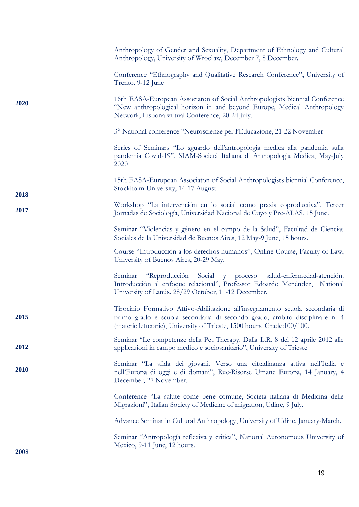|      | Anthropology of Gender and Sexuality, Department of Ethnology and Cultural<br>Anthropology, University of Wrocław, December 7, 8 December.                                                                                             |
|------|----------------------------------------------------------------------------------------------------------------------------------------------------------------------------------------------------------------------------------------|
|      | Conference "Ethnography and Qualitative Research Conference", University of<br>Trento, 9-12 June                                                                                                                                       |
| 2020 | 16th EASA-European Associaton of Social Anthropologists biennial Conference<br>"New anthropological horizon in and beyond Europe, Medical Anthropology<br>Network, Lisbona virtual Conference, 20-24 July.                             |
|      | 3° National conference "Neuroscienze per l'Educazione, 21-22 November                                                                                                                                                                  |
|      | Series of Seminars "Lo sguardo dell'antropologia medica alla pandemia sulla<br>pandemia Covid-19", SIAM-Società Italiana di Antropologia Medica, May-July<br>2020                                                                      |
| 2018 | 15th EASA-European Associaton of Social Anthropologists biennial Conference,<br>Stockholm University, 14-17 August                                                                                                                     |
| 2017 | Workshop "La intervención en lo social como praxis coproductiva", Tercer<br>Jornadas de Sociología, Universidad Nacional de Cuyo y Pre-ALAS, 15 June.                                                                                  |
|      | Seminar "Violencias y género en el campo de la Salud", Facultad de Ciencias<br>Sociales de la Universidad de Buenos Aires, 12 May-9 June, 15 hours.                                                                                    |
|      | Course "Introducción a los derechos humanos", Online Course, Faculty of Law,<br>University of Buenos Aires, 20-29 May.                                                                                                                 |
|      | "Reproducción Social y proceso<br>salud-enfermedad-atención.<br>Seminar<br>Introducción al enfoque relacional", Professor Edoardo Menéndez, National<br>University of Lanús. 28/29 October, 11-12 December.                            |
| 2015 | Tirocinio Formativo Attivo-Abilitazione all'insegnamento scuola secondaria di<br>primo grado e scuola secondaria di secondo grado, ambito disciplinare n. 4<br>(materie letterarie), University of Trieste, 1500 hours. Grade:100/100. |
| 2012 | Seminar "Le competenze della Pet Therapy. Dalla L.R. 8 del 12 aprile 2012 alle<br>applicazioni in campo medico e sociosanitario", University of Trieste                                                                                |
| 2010 | Seminar "La sfida dei giovani. Verso una cittadinanza attiva nell'Italia e<br>nell'Europa di oggi e di domani", Rue-Risorse Umane Europa, 14 January, 4<br>December, 27 November.                                                      |
|      | Conference "La salute come bene comune, Società italiana di Medicina delle<br>Migrazioni", Italian Society of Medicine of migration, Udine, 9 July.                                                                                    |
|      | Advance Seminar in Cultural Anthropology, University of Udine, January-March.                                                                                                                                                          |
| 2008 | Seminar "Antropología reflexiva y critica", National Autonomous University of<br>Mexico, 9-11 June, 12 hours.                                                                                                                          |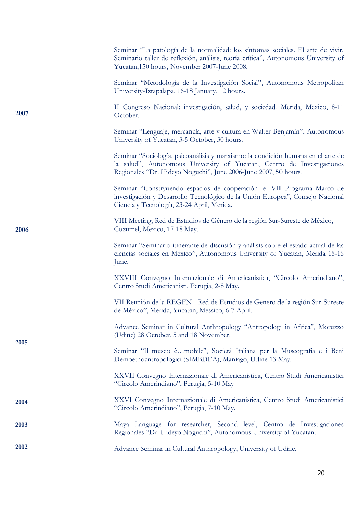|      | Seminar "La patología de la normalidad: los síntomas sociales. El arte de vivir.<br>Seminario taller de reflexión, análisis, teoría crítica", Autonomous University of<br>Yucatan, 150 hours, November 2007-June 2008.        |
|------|-------------------------------------------------------------------------------------------------------------------------------------------------------------------------------------------------------------------------------|
|      | Seminar "Metodología de la Investigación Social", Autonomous Metropolitan<br>University-Iztapalapa, 16-18 January, 12 hours.                                                                                                  |
| 2007 | II Congreso Nacional: investigación, salud, y sociedad. Merida, Mexico, 8-11<br>October.                                                                                                                                      |
|      | Seminar "Lenguaje, mercancía, arte y cultura en Walter Benjamín", Autonomous<br>University of Yucatan, 3-5 October, 30 hours.                                                                                                 |
|      | Seminar "Sociología, psicoanálisis y marxismo: la condición humana en el arte de<br>la salud", Autonomous University of Yucatan, Centro de Investigaciones<br>Regionales "Dr. Hideyo Noguchi", June 2006-June 2007, 50 hours. |
|      | Seminar "Constryuendo espacios de cooperación: el VII Programa Marco de<br>investigación y Desarrollo Tecnológico de la Unión Europea", Consejo Nacional<br>Ciencia y Tecnología, 23-24 April, Merida.                        |
| 2006 | VIII Meeting, Red de Estudios de Género de la región Sur-Sureste de México,<br>Cozumel, Mexico, 17-18 May.                                                                                                                    |
|      | Seminar "Seminario itinerante de discusión y análisis sobre el estado actual de las<br>ciencias sociales en México", Autonomous University of Yucatan, Merida 15-16<br>June.                                                  |
|      | XXVIII Convegno Internazionale di Americanistica, "Circolo Amerindiano",<br>Centro Studi Americanisti, Perugia, 2-8 May.                                                                                                      |
|      | VII Reunión de la REGEN - Red de Estudios de Género de la región Sur-Sureste<br>de México", Merida, Yucatan, Messico, 6-7 April.                                                                                              |
| 2005 | Advance Seminar in Cultural Anthropology "Antropologi in Africa", Moruzzo<br>(Udine) 28 October, 5 and 18 November.                                                                                                           |
|      | Seminar "Il museo èmobile", Società Italiana per la Museografia e i Beni<br>Demoetnoantropologici (SIMBDEA), Maniago, Udine 13 May.                                                                                           |
|      | XXVII Convegno Internazionale di Americanistica, Centro Studi Americanistici<br>"Circolo Amerindiano", Perugia, 5-10 May                                                                                                      |
| 2004 | XXVI Convegno Internazionale di Americanistica, Centro Studi Americanistici<br>"Circolo Amerindiano", Perugia, 7-10 May.                                                                                                      |
| 2003 | Maya Language for researcher, Second level, Centro de Investigaciones<br>Regionales "Dr. Hideyo Noguchi", Autonomous University of Yucatan.                                                                                   |
| 2002 | Advance Seminar in Cultural Anthropology, University of Udine.                                                                                                                                                                |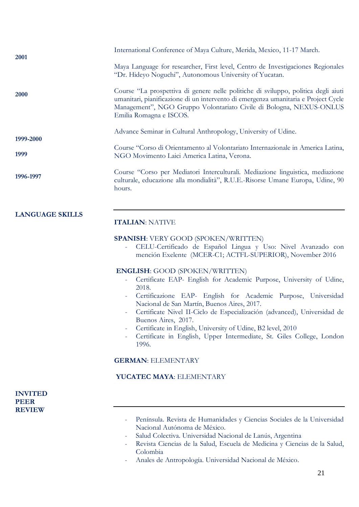| 2001                                           | International Conference of Maya Culture, Merida, Mexico, 11-17 March.                                                                                                                                                                                                                                                                                                                                                                                                                              |
|------------------------------------------------|-----------------------------------------------------------------------------------------------------------------------------------------------------------------------------------------------------------------------------------------------------------------------------------------------------------------------------------------------------------------------------------------------------------------------------------------------------------------------------------------------------|
|                                                | Maya Language for researcher, First level, Centro de Investigaciones Regionales<br>"Dr. Hideyo Noguchi", Autonomous University of Yucatan.                                                                                                                                                                                                                                                                                                                                                          |
| <b>2000</b>                                    | Course "La prospettiva di genere nelle politiche di sviluppo, politica degli aiuti<br>umanitari, pianificazione di un intervento di emergenza umanitaria e Project Cycle<br>Management", NGO Gruppo Volontariato Civile di Bologna, NEXUS-ONLUS<br>Emilia Romagna e ISCOS.                                                                                                                                                                                                                          |
| 1999-2000                                      | Advance Seminar in Cultural Anthropology, University of Udine.                                                                                                                                                                                                                                                                                                                                                                                                                                      |
| 1999                                           | Course "Corso di Orientamento al Volontariato Internazionale in America Latina,<br>NGO Movimento Laici America Latina, Verona.                                                                                                                                                                                                                                                                                                                                                                      |
| 1996-1997                                      | Course "Corso per Mediatori Interculturali. Mediazione linguistica, mediazione<br>culturale, educazione alla mondialità", R.U.E.-Risorse Umane Europa, Udine, 90<br>hours.                                                                                                                                                                                                                                                                                                                          |
| <b>LANGUAGE SKILLS</b>                         | <b>ITALIAN: NATIVE</b>                                                                                                                                                                                                                                                                                                                                                                                                                                                                              |
|                                                | <b>SPANISH:</b> VERY GOOD (SPOKEN/WRITTEN)<br>CELU-Certificado de Español Lingua y Uso: Nivel Avanzado con<br>mención Exelente (MCER-C1; ACTFL-SUPERIOR), November 2016                                                                                                                                                                                                                                                                                                                             |
|                                                | <b>ENGLISH: GOOD (SPOKEN/WRITTEN)</b><br>Certificate EAP- English for Academic Purpose, University of Udine,<br>2018.<br>Certificazione EAP- English for Academic Purpose, Universidad<br>Nacional de San Martín, Buenos Aires, 2017.<br>Certificate Nivel II-Ciclo de Especialización (advanced), Universidad de<br>Buenos Aires, 2017.<br>Certificate in English, University of Udine, B2 level, 2010<br>-<br>Certificate in English, Upper Intermediate, St. Giles College, London<br>-<br>1996. |
|                                                | <b>GERMAN: ELEMENTARY</b>                                                                                                                                                                                                                                                                                                                                                                                                                                                                           |
|                                                | YUCATEC MAYA: ELEMENTARY                                                                                                                                                                                                                                                                                                                                                                                                                                                                            |
| <b>INVITED</b><br><b>PEER</b><br><b>REVIEW</b> | Península. Revista de Humanidades y Ciencias Sociales de la Universidad<br>Nacional Autónoma de México.                                                                                                                                                                                                                                                                                                                                                                                             |
|                                                | Salud Colectiva. Universidad Nacional de Lanús, Argentina<br>$\equiv$<br>Revista Ciencias de la Salud Escuela de Medicina y Ciencias de la Salud                                                                                                                                                                                                                                                                                                                                                    |

- Revista Ciencias de la Salud, Escuela de Medicina y Ciencias de la Salud, Colombia
- Anales de Antropología. Universidad Nacional de México.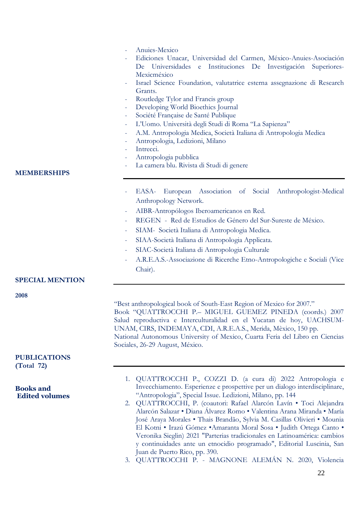| <b>MEMBERSHIPS</b>                                      | Anuies-Mexico<br>Ediciones Unacar, Universidad del Carmen, México-Anuies-Asociación<br>De Universidades e Instituciones De Investigación Superiores-<br>Mexicméxico<br>Israel Science Foundation, valutatrice esterna assegnazione di Research<br>Grants.<br>Routledge Tylor and Francis group<br>Developing World Bioethics Journal<br>-<br>Société Française de Santé Publique<br>-<br>L'Uomo. Università degli Studi di Roma "La Sapienza"<br>A.M. Antropologia Medica, Società Italiana di Antropologia Medica<br>Antropologia, Ledizioni, Milano<br>Intrecci.<br>Antropologia pubblica<br>La camera blu. Rivista di Studi di genere                                                            |
|---------------------------------------------------------|-----------------------------------------------------------------------------------------------------------------------------------------------------------------------------------------------------------------------------------------------------------------------------------------------------------------------------------------------------------------------------------------------------------------------------------------------------------------------------------------------------------------------------------------------------------------------------------------------------------------------------------------------------------------------------------------------------|
| <b>SPECIAL MENTION</b>                                  | European Association of Social Anthropologist-Medical<br>EASA-<br>Anthropology Network.<br>AIBR-Antropólogos Iberoamericanos en Red.<br>REGEN - Red de Estudios de Género del Sur-Sureste de México.<br>SIAM- Società Italiana di Antropologia Medica.<br>$\overline{\phantom{a}}$<br>SIAA-Società Italiana di Antropologia Applicata.<br>SIAC-Società Italiana di Antropologia Culturale<br>A.R.E.A.S.-Associazione di Ricerche Etno-Antropologiche e Sociali (Vice<br>Chair).                                                                                                                                                                                                                     |
| 2008<br><b>PUBLICATIONS</b>                             | "Best anthropological book of South-East Region of Mexico for 2007."<br>Book "QUATTROCCHI P.- MIGUEL GUEMEZ PINEDA (coords.) 2007<br>Salud reproductiva e Interculturalidad en el Yucatan de hoy, UACHSUM-<br>UNAM, CIRS, INDEMAYA, CDI, A.R.E.A.S., Merida, Mèxico, 150 pp.<br>National Autonomous University of Mexico, Cuarta Feria del Libro en Ciencias<br>Sociales, 26-29 August, México.                                                                                                                                                                                                                                                                                                     |
| (Total 72)<br><b>Books and</b><br><b>Edited volumes</b> | 1. QUATTROCCHI P., COZZI D. (a cura di) 2022 Antropologia e<br>Invecchiamento. Esperienze e prospettive per un dialogo interdisciplinare,<br>"Antropologia", Special Issue. Ledizioni, Milano, pp. 144<br>2. QUATTROCCHI, P. (coautori: Rafael Alarcón Lavín · Toci Alejandra<br>Alarcón Salazar • Diana Álvarez Romo • Valentina Arana Miranda • María<br>José Araya Morales · Thais Brandão, Sylvia M. Casillas Olivieri · Mounia<br>El Kotni · Irazú Gómez · Amaranta Moral Sosa · Judith Ortega Canto ·<br>Veronika Sieglin) 2021 "Parterias tradicionales en Latinoamérica: cambios<br>y continuidades ante un etnocidio programado", Editorial Luscinia, San<br>Juan de Puerto Rico, pp. 390. |

3. QUATTROCCHI P. - MAGNONE ALEMÁN N. 2020, Violencia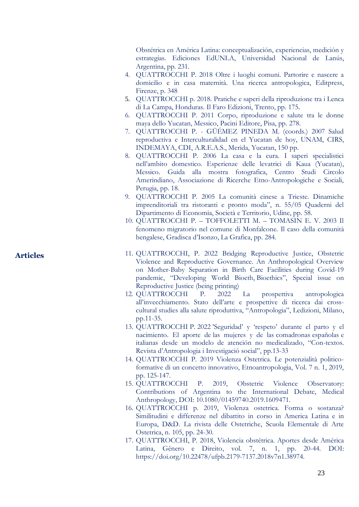Obstétrica en América Latina: conceptualización, experiencias, medición y estrategias. Ediciones EdUNLA, Universidad Nacional de Lanús, Argentina, pp. 231.

- 4. QUATTROCCHI P. 201 8 Oltre i luoghi comuni. Partorire e nascere a domicilio e in casa maternità. Una ricerca antropologica, Editpress, Firenze, p. 348
- 5. QUATTROCCHI p . 2018. Pratiche e saperi della riproduzione tra i Lenca di La Campa, Honduras. Il Faro Edizioni, Trento, pp. 175 .
- 6. QUATTROCCHI P. 201 1 Corpo, riproduzione e salute tra le donne maya dello Yucatan, Messico, Pacini Editore, Pisa, pp. 278.
- 7. QUATTROCCHI P. GÜ ÉMEZ PINEDA M. (coords.) 2007 Salud reproductiva e Interculturalidad en el Yucatan de hoy, UNAM, CIRS, INDEMAYA, CDI, A.R.E.A.S., Merida, Yucatan, 150 pp.
- 8. QUATTROCCHI P. 2006 La casa e la cura. I saperi specialistici nell'ambito domestico. Esperienze dell e levatrici di Kaua (Yucatan), Messico. Guida alla mostra fotografica, Centro Studi Circolo Amerindiano, Associazione di Ricerche Etno -Antropologiche e Sociali, Perugia, pp. 18.
- 9. QUATTROCCHI P. 2005 La comunità cinese a Trieste. Dinamiche imprenditoriali tr a ristoranti e pronto moda", n. 55/05 Quaderni del Dipartimento di Economia, Società e Territorio, Udine, pp. 58.
- 10. QUATTROCCHI P. TOFFOLETTI M. TOMASIN E. V. 2003 Il fenomeno migratorio nel comune di Monfalcone. Il caso della comunità bengalese, Gradisc a d'Isonzo, La Grafica, pp. 284.
- 11. QUATTROCCHI, P. 2022 Bridging Reproductive Justice, Obstetric Violence and Reproductive Governance. An Anthropological Overview on Mother -Baby Separation in Birth Care Facilities during Covid - 19 pandemic, "Developing World Bioeth, Bioethics", Special issue on Reproductive Justice (being printing)
- 12. QUATTROCCHI P. <sup>2022</sup> La prospettiva antropologica all'invecchiamento. Stato dell'arte e prospettive di ricerca dai crosscultural studies alla salute riproduttiva, "Antropologia", Ledizioni, Milano, pp.11 -35.
- 13. QUATTROCCHI P. 2022 'Seguridad' y 'respeto' durante el parto y el nacimiento. El aporte de las mujeres y de las comadronas españolas e italianas desde un modelo de atención no medicalizado, "Con -texto s. Revista d' Antropologia i Investigació social ", pp.13 -33
- 14. QUATTR OCCHI P . 2019 Violenza Ostetrica. Le potenzialità politico formative di un concetto innovativo, Etnoantropologia, Vol. 7 n. 1, 2019, pp. 125 -147.
- 15. QUATTROCCHI P . 2019 , Obstetric Violence Observatory: Contributions of Argentina to the I nternational Debate, Medical Anthropology, D O I : [10.1080/01459740.2019.1609471](https://doi.org/10.1080/01459740.2019.1609471) .
- 16. QUATTROCCHI p. 2019, Violenza ostetrica. Forma o sostanza? Similitudini e differenze nel dibattito in corso in Amer ica Latina e in Europa, D & D . La rivista delle Ostetriche, Scuola Elementale di Arte Ostetrica, n. 105, pp. 24-30.
- 17. QUATTROCCHI, P. 201 8 , Violencia obstétrica. Aportes desde América Latina , Gênero e Direito , vol. 7, n. 1, pp. 20 -44. DOI: [https://doi.org/10.22478/ufpb.217](https://doi.org/10.22478/ufpb.2179-7137.2018v7n1.38974) 9 - 7137.2018v7n1.38974 .

# **Articles**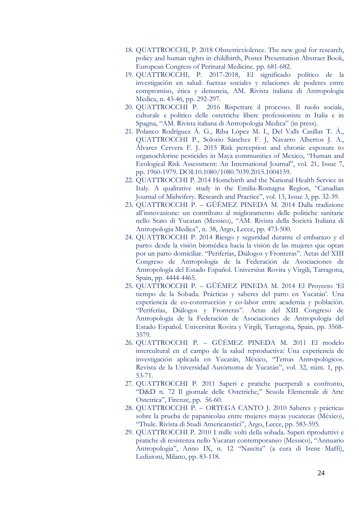- 18. QUATTROCCHI, P. 2018 Obstetricviolence. The new goal for research, policy and human rights in childbirth, Poster Presentation Abstract Book, European Congress of Perinatal Medicine. pp. 681-682.
- 19. QUATTROCCHI, P. 2017-2018, El significado político de la investigación en salud: fuerzas sociales y relaciones de poderes entre compromiso, ética y denuncia, AM. Rivista italiana di Antropologia Medica, n. 43-46, pp. 292-297.
- 20. QUATTROCCHI P. 2016 Rispettare il processo. Il ruolo sociale, culturale e politico delle ostetriche libere professioniste in Italia e in Spagna, "AM. Rivista italiana di Antropologia Medica" (in press).
- 21. Polanco Rodríguez Á. G., Riba López M. I., Del Valls Casillas T. Á., QUATTROCCHI P., Solorio Sánchez F. J, Navarro Albertos J. A., Álvarez Cervera F. J. 2015 Risk perception and chronic exposure to organochlorine pesticides in Maya communities of Mexico, "Human and Ecological Risk Assessment: An International Journal", vol. 21, Issue 7, pp. 1960-1979. DOI:10.1080/1080.7039.2015.1004159.
- 22. QUATTROCCHI P. 2014 Homebirth and the National Health Service in Italy. A qualitative study in the Emilia-Romagna Region, "Canadian Journal of Midwifery. Research and Practice", vol. 13, Issue 3, pp. 32-39.
- 23. QUATTROCCHI P. GÜÉMEZ PINEDA M. 2014 Dalla tradizione all'innovazione: un contributo al miglioramento delle politiche sanitarie nello Stato di Yucatan (Messico), "AM. Rivista della Società Italiana di Antropologia Medica", n. 38, Argo, Lecce, pp. 473-500.
- 24. QUATTROCCHI P. 2014 Riesgo y seguridad durante el embarazo y el parto: desde la visión biomédica hacia la visión de las mujeres que optan por un parto domiciliar. "Periferías, Diálogos y Fronteras". Actas del XIII Congreso de Antropología de la Federación de Asociaciones de Antropología del Estado Español. Universitat Rovira y Virgili, Tarragona, Spain, pp. 4444-4465.
- 25. QUATTROCCHI P. GÜÉMEZ PINEDA M. 2014 El Proyecto 'El tiempo de la Sobada. Prácticas y saberes del parto en Yucatán'. Una experiencia de co-construcción y co-labor entre academia y población. "Periferías, Diálogos y Fronteras". Actas del XIII Congreso de Antropología de la Federación de Asociaciones de Antropología del Estado Español. Universitat Rovira y Virgili, Tarragona, Spain, pp. 3568- 3579.
- 26. QUATTROCCHI P. GÜÉMEZ PINEDA M. 2011 El modelo intercultural en el campo de la salud reproductiva: Una experiencia de investigación aplicada en Yucatán, México, "Temas Antropológicos. Revista de la Universidad Autómoma de Yucatán", vol. 32, núm. 1, pp. 53-71.
- 27. QUATTROCCHI P. 2011 Saperi e pratiche puerperali a confronto, "D&D n. 72 Il giornale delle Ostetriche," Scuola Elementale di Arte Ostetrica", Firenze, pp. 56-60.
- 28. QUATTROCCHI P. ORTEGA CANTO J. 2010 Saberes y prácticas sobre la prueba de papanicolau entre mujeres mayas yucatecas (México), "Thule. Rivista di Studi Americanstici", Argo, Lecce, pp. 583-595.
- 29. QUATTROCCHI P. 2010 I mille volti della sobada. Saperi riproduttivi e pratiche di resistenza nello Yucatan contemporaneo (Messico), "Annuario Antropologia", Anno IX, n. 12 "Nascita" (a cura di Irene Maffi), Ledizioni, Milano, pp. 83-118.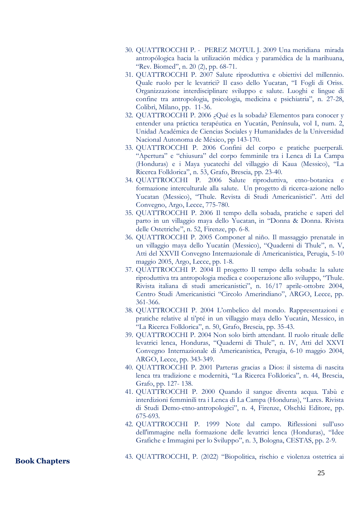- 30. QUATTROCCHI P. PEREZ MOTUL J. 2009 Una meridiana mirada antropólogica hacia la utilización médica y paramédica de la marihuana, "Rev. Biomed", n. 20 (2), pp. 68-71.
- 31. QUATTROCCHI P. 2007 Salute riproduttiva e obiettivi del millennio. Quale ruolo per le levatrici? Il caso dello Yucatan, "I Fogli di Oriss. Organizzazione interdisciplinare sviluppo e salute. Luoghi e lingue di confine tra antropologia, psicologia, medicina e psichiatria", n. 27-28, Colibrì, Milano, pp. 11-36.
- 32. QUATTROCCHI P. 2006 ¿Qué es la sobada? Elementos para conocer y entender una práctica terapéutica en Yucatán, Península, vol I, num. 2, Unidad Académica de Ciencias Sociales y Humanidades de la Universidad Nacional Autonoma de México, pp 143-170.
- 33. QUATTROCCHI P. 2006 Confini del corpo e pratiche puerperali. "Apertura" e "chiusura" del corpo femminile tra i Lenca di La Campa (Honduras) e i Maya yucatechi del villaggio di Kaua (Messico), "La Ricerca Folklorica", n. 53, Grafo, Brescia, pp. 23-40.
- 34. QUATTROCCHI P. 2006 Salute riproduttiva, etno-botanica e formazione interculturale alla salute. Un progetto di ricerca-azione nello Yucatan (Messico), "Thule. Revista di Studi Americanistici". Atti del Convegno, Argo, Lecce, 775-780.
- 35. QUATTROCCHI P. 2006 Il tempo della sobada, pratiche e saperi del parto in un villaggio maya dello Yucatan, in "Donna & Donna. Rivista delle Ostetriche", n. 52, Firenze, pp. 6-8.
- 36. QUATTROCCHI P. 2005 Componer al niño. Il massaggio prenatale in un villaggio maya dello Yucatán (Messico), "Quaderni di Thule", n. V, Atti del XXVII Convegno Internazionale di Americanistica, Perugia, 5-10 maggio 2005, Argo, Lecce, pp. 1-8.
- 37. QUATTROCCHI P. 2004 Il progetto Il tempo della sobada: la salute riproduttiva tra antropologia medica e cooperazione allo sviluppo, "Thule. Rivista italiana di studi americanistici", n. 16/17 aprile-ottobre 2004, Centro Studi Americanistici "Circolo Amerindiano", ARGO, Lecce, pp. 361-366.
- 38. QUATTROCCHI P. 2004 L'ombelico del mondo. Rappresentazioni e pratiche relative al ti'pté in un villaggio maya dello Yucatán, Messico, in "La Ricerca Folklorica", n. 50, Grafo, Brescia, pp. 35-43.
- 39. QUATTROCCHI P. 2004 Non solo birth attendant. Il ruolo rituale delle levatrici lenca, Honduras, "Quaderni di Thule", n. IV, Atti del XXVI Convegno Internazionale di Americanistica, Perugia, 6-10 maggio 2004, ARGO, Lecce, pp. 343-349.
- 40. QUATTROCCHI P. 2001 Parteras gracias a Dios: il sistema di nascita lenca tra tradizione e modernità, "La Ricerca Folklorica", n. 44, Brescia, Grafo, pp. 127- 138.
- 41. QUATTROCCHI P. 2000 Quando il sangue diventa acqua. Tabù e interdizioni femminili tra i Lenca di La Campa (Honduras), "Lares. Rivista di Studi Demo-etno-antropologici", n. 4, Firenze, Olschki Editore, pp. 675-693.
- 42. QUATTROCCHI P. 1999 Note dal campo. Riflessioni sull'uso dell'immagine nella formazione delle levatrici lenca (Honduras), "Idee Grafiche e Immagini per lo Sviluppo", n. 3, Bologna, CESTAS, pp. 2-9.

**Book Chapters**

43. QUATTROCCHI, P. (2022) "Biopolitica, rischio e violenza ostetrica ai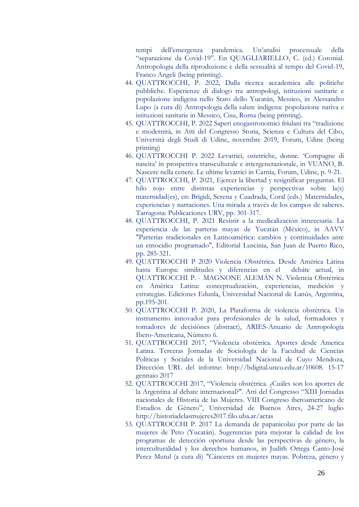tempi dell'emergenza pandemica. Un'analisi processuale della "separazione da Covid-19". En QUAGLIARIELLO, C. (ed.) Coronial. Antropologia della riproduzione e della sessualità al tempo del Covid-19, Franco Angeli (being printing).

- 44. QUATTROCCHI, P. 2022, Dalla ricerca accademica alle politiche pubbliche. Esperienze di dialogo tra antropologi, istituzioni sanitarie e popolazione indigena nello Stato dello Yucatán, Messico, in Alessandro Lupo (a cura di) Antropologia della salute indigena: popolazione nativa e istituzioni sanitarie in Messico, Cisu, Roma (being printing).
- 45. QUATTROCCHI, P. 2022 Saperi enogastronomici friulani tra "tradizione e modernità, in Atti del Congresso Storia, Scienza e Cultura del Cibo, Università degli Studi di Udine, novembre 2019, Forum, Udine (being printing)
- 46. QUATTROCCHI P. 2022 Levatrici, ostetriche, donne. 'Compagne di nascita' in prospettiva transculturale e intergenerazionale, in VUANO, B. Nascere nella cenere. Le ultime levatrici in Carnia, Forum, Udine, p. 9-21.
- 47. QUATTROCCHI, P. 2021, Ejercer la libertad y resignificar preguntas. El hilo rojo entre distintas experiencias y perspectivas sobre la(s) maternidad(es), en: Brigidi, Serena y Cuadrada, Coral (eds.) Maternidades, experiencias y narraciones. Una mirada a través de los campos de saberes. Tarragona: Publicaciones URV, pp. 301-317.
- 48. QUATTROCCHI, P. 2021 Resistir a la medicalización innecesaria. La experiencia de las parteras mayas de Yucatán (México), in AAVV "Parterias tradicionales en Latinoamérica: cambios y continuidades ante un etnocidio programado", Editorial Luscinia, San Juan de Puerto Rico, pp. 285-321.
- 49. QUATTROCCHI P 2020 Violencia Obstétrica. Desde América Látina hasta Europa: similitudes y diferencias en el debáte actual, in QUATTROCCHI P. - MAGNONE ALEMÁN N. Violencia Obstétrica en América Latina: conceptualización, experiencias, medición y estrategias. Ediciones Edunla, Universidad Nacional de Lanús, Argentina, pp.195-201.
- 50. QUATTROCCHI P. 2020, La Plataforma de violencia obstétrica. Un instrumento innovador para profesionales de la salud, formadores y tomadores de decisiónes (abstract), ARIES-Anuario de Antropología Ibero-Americana, Número 6.
- 51. QUATTROCCHI 2017, "Violencia obstétrica. Aportes desde America Latina. Terceras Jornadas de Sociología de la Facultad de Ciencias Políticas y Sociales de la Universidad Nacional de Cuyo Mendoza, Dirección URL del informe: [http://bdigital.uncu.edu.ar/10608. 15-17](http://bdigital.uncu.edu.ar/10608.%2015-17) gennaio 2017
- 52. QUATTROCCHI 2017, "Violencia obstétrica. ¿Cuáles son los aportes de la Argentina al debate internacional?". Atti del Congresso "XIII Jornadas nacionales de Historia de las Mujeres. VIII Congreso iberoamericano de Estudios de Género", Universidad de Buenos Aires, 24-27 luglio <http://historiadelasmujeres2017.filo.uba.ar/actas>
- 53. QUATTROCCHI P. 2017 La demanda de papanicolau por parte de las mujeres de Peto (Yucatán). Sugerencias para mejorar la calidad de los programas de detección oportuna desde las perspectivas de género, la interculturalidad y los derechos humanos, in Judith Ortega Canto-José Perez Mutul (a cura di) "Cánceres en mujeres mayas. Pobreza, género y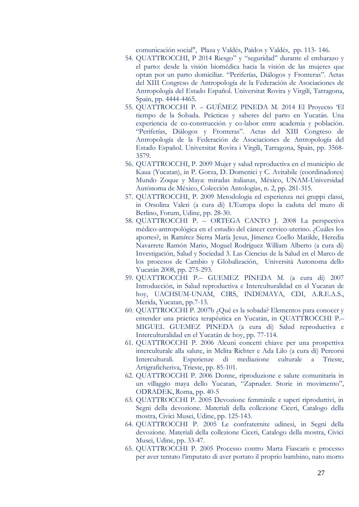comunicación social", Plaza y Valdés, Paídos y Valdés, pp. 113- 146.

- 54. QUATTROCCHI, P 2014 Riesgo" y "seguridad" durante el embarazo y el parto: desde la visión biomédica hacia la visión de las mujeres que optan por un parto domiciliar. "Periferías, Diálogos y Fronteras". Actas del XIII Congreso de Antropología de la Federación de Asociaciones de Antropología del Estado Español. Universitat Rovira y Virgili, Tarragona, Spain, pp. 4444-4465.
- 55. QUATTROCCHI P. GUÉMEZ PINEDA M. 2014 El Proyecto 'El tiempo de la Sobada. Prácticas y saberes del parto en Yucatán. Una experiencia de co-construcción y co-labor entre academia y población. "Periferías, Diálogos y Fronteras". Actas del XIII Congreso de Antropología de la Federación de Asociaciones de Antropología del Estado Español. Universitat Rovira i Virgili, Tarragona, Spain, pp. 3568- 3579.
- 56. QUATTROCCHI, P. 2009 Mujer y salud reproductiva en el municipio de Kaua (Yucatan), in P. Gorza, D. Domenici y C. Avitabile (coordinadores) Mundo Zoque y Maya: miradas italianas, México, UNAM-Universidad Autónoma de México, Colección Antologías, n. 2, pp. 281-315.
- 57. QUATTROCCHI, P. 2009 Metodologia ed esperienza nei gruppi classi, in Orsolina Valeri (a cura di) L'Europa dopo la caduta del muro di Berlino, Forum, Udine, pp. 28-30.
- 58. QUATTROCCHI P. ORTEGA CANTO J. 2008 La perspectiva médico-antropológica en el estudio del cáncer cervico-uterino. ¿Cuáles los aportes?, in Ramírez Sierra María Jesus, Jímenez Coello Matilde, Heredia Navarrete Ramón Mario, Moguel Rodríguez William Alberto (a cura di) Investigación, Salud y Sociedad 3. Las Ciencias de la Salud en el Marco de los procesos de Cambio y Globalización, Università Autonoma dello Yucatán 2008, pp. 275-293.
- 59. QUATTROCCHI P.– GUEMEZ PINEDA M. (a cura di) 2007 Introducción, in Salud reproductiva e Interculturalidad en el Yucatan de hoy, UACHSUM-UNAM, CIRS, INDEMAYA, CDI, A.R.E.A.S., Merida, Yucatan, pp.7-13.
- 60. QUATTROCCHI P. 2007b ¿Qué es la sobada? Elementos para conocer y entender una práctica terapéutica en Yucatán, in QUATTROCCHI P.– MIGUEL GUEMEZ PINEDA (a cura di) Salud reproductiva e Interculturalidad en el Yucatán de hoy, pp. 77-114.
- 61. QUATTROCCHI P. 2006 Alcuni concetti chiave per una prospettiva interculturale alla salute, in Melita Richter e Ada Lilo (a cura di) Percorsi Interculturali. Esperienze di mediazione culturale a Trieste, Artigraficheriva, Trieste, pp. 85-101.
- 62. QUATTROCCHI P. 2006 Donne, riproduzione e salute comunitaria in un villaggio maya dello Yucatan, "Zapruder. Storie in movimento", ODRADEK, Roma, pp. 40-5
- 63. QUATTROCCHI P. 2005 Devozione femminile e saperi riproduttivi, in Segni della devozione. Materiali della collezione Ciceri, Catalogo della mostra, Civici Musei, Udine, pp. 125-143.
- 64. QUATTROCCHI P. 2005 Le confraternite udinesi, in Segni della devozione. Materiali della collezione Ciceri, Catalogo della mostra, Civici Musei, Udine, pp. 33-47.
- 65. QUATTROCCHI P. 2005 Processo contro Marta Fiascaris e processo per aver tentato l'imputato di aver portato il proprio bambino, nato morto